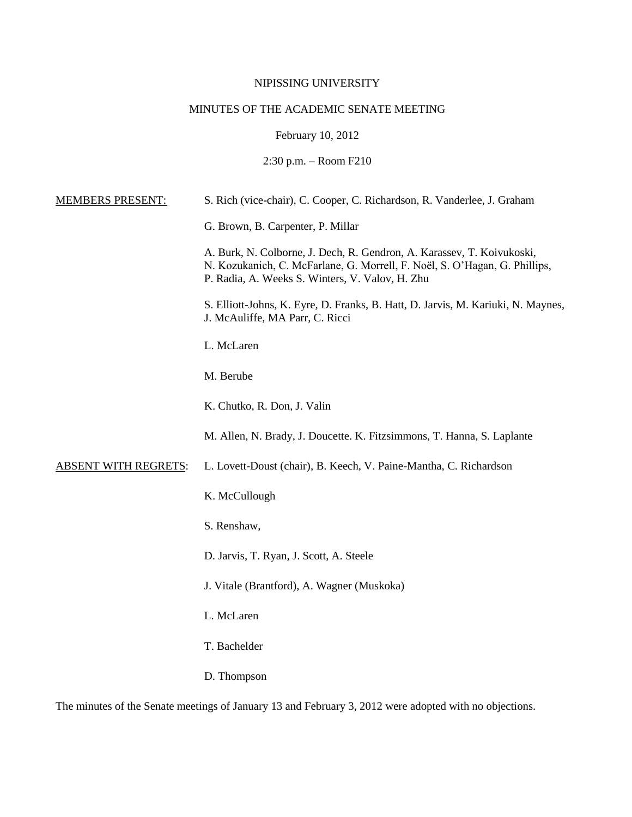## NIPISSING UNIVERSITY

# MINUTES OF THE ACADEMIC SENATE MEETING

February 10, 2012

2:30 p.m. – Room F210

| <b>MEMBERS PRESENT:</b>     | S. Rich (vice-chair), C. Cooper, C. Richardson, R. Vanderlee, J. Graham                                                                                                                                 |
|-----------------------------|---------------------------------------------------------------------------------------------------------------------------------------------------------------------------------------------------------|
|                             | G. Brown, B. Carpenter, P. Millar                                                                                                                                                                       |
|                             | A. Burk, N. Colborne, J. Dech, R. Gendron, A. Karassev, T. Koivukoski,<br>N. Kozukanich, C. McFarlane, G. Morrell, F. Noël, S. O'Hagan, G. Phillips,<br>P. Radia, A. Weeks S. Winters, V. Valov, H. Zhu |
|                             | S. Elliott-Johns, K. Eyre, D. Franks, B. Hatt, D. Jarvis, M. Kariuki, N. Maynes,<br>J. McAuliffe, MA Parr, C. Ricci                                                                                     |
|                             | L. McLaren                                                                                                                                                                                              |
|                             | M. Berube                                                                                                                                                                                               |
|                             | K. Chutko, R. Don, J. Valin                                                                                                                                                                             |
|                             | M. Allen, N. Brady, J. Doucette. K. Fitzsimmons, T. Hanna, S. Laplante                                                                                                                                  |
| <b>ABSENT WITH REGRETS:</b> | L. Lovett-Doust (chair), B. Keech, V. Paine-Mantha, C. Richardson                                                                                                                                       |
|                             | K. McCullough                                                                                                                                                                                           |
|                             | S. Renshaw,                                                                                                                                                                                             |
|                             | D. Jarvis, T. Ryan, J. Scott, A. Steele                                                                                                                                                                 |
|                             | J. Vitale (Brantford), A. Wagner (Muskoka)                                                                                                                                                              |
|                             | L. McLaren                                                                                                                                                                                              |
|                             | T. Bachelder                                                                                                                                                                                            |
|                             | D. Thompson                                                                                                                                                                                             |
|                             |                                                                                                                                                                                                         |

The minutes of the Senate meetings of January 13 and February 3, 2012 were adopted with no objections.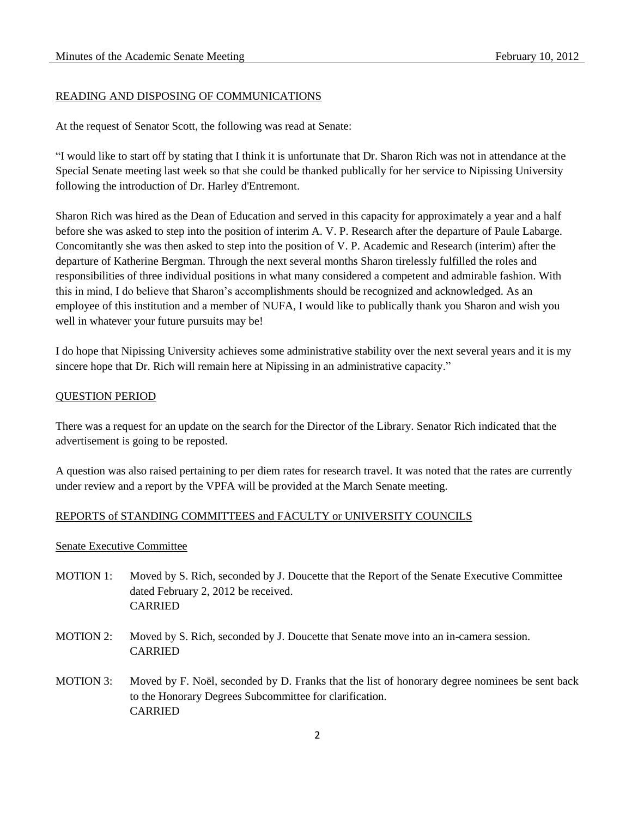## READING AND DISPOSING OF COMMUNICATIONS

At the request of Senator Scott, the following was read at Senate:

"I would like to start off by stating that I think it is unfortunate that Dr. Sharon Rich was not in attendance at the Special Senate meeting last week so that she could be thanked publically for her service to Nipissing University following the introduction of Dr. Harley d'Entremont.

Sharon Rich was hired as the Dean of Education and served in this capacity for approximately a year and a half before she was asked to step into the position of interim A. V. P. Research after the departure of Paule Labarge. Concomitantly she was then asked to step into the position of V. P. Academic and Research (interim) after the departure of Katherine Bergman. Through the next several months Sharon tirelessly fulfilled the roles and responsibilities of three individual positions in what many considered a competent and admirable fashion. With this in mind, I do believe that Sharon's accomplishments should be recognized and acknowledged. As an employee of this institution and a member of NUFA, I would like to publically thank you Sharon and wish you well in whatever your future pursuits may be!

I do hope that Nipissing University achieves some administrative stability over the next several years and it is my sincere hope that Dr. Rich will remain here at Nipissing in an administrative capacity."

### QUESTION PERIOD

There was a request for an update on the search for the Director of the Library. Senator Rich indicated that the advertisement is going to be reposted.

A question was also raised pertaining to per diem rates for research travel. It was noted that the rates are currently under review and a report by the VPFA will be provided at the March Senate meeting.

## REPORTS of STANDING COMMITTEES and FACULTY or UNIVERSITY COUNCILS

#### Senate Executive Committee

- MOTION 1: Moved by S. Rich, seconded by J. Doucette that the Report of the Senate Executive Committee dated February 2, 2012 be received. CARRIED
- MOTION 2: Moved by S. Rich, seconded by J. Doucette that Senate move into an in-camera session. CARRIED
- MOTION 3: Moved by F. Noël, seconded by D. Franks that the list of honorary degree nominees be sent back to the Honorary Degrees Subcommittee for clarification. CARRIED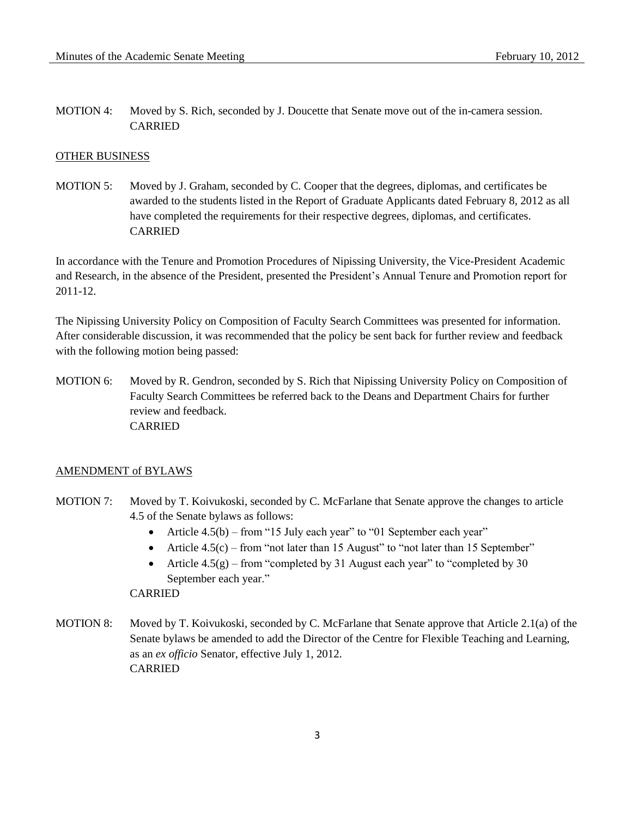MOTION 4: Moved by S. Rich, seconded by J. Doucette that Senate move out of the in-camera session. CARRIED

#### OTHER BUSINESS

MOTION 5: Moved by J. Graham, seconded by C. Cooper that the degrees, diplomas, and certificates be awarded to the students listed in the Report of Graduate Applicants dated February 8, 2012 as all have completed the requirements for their respective degrees, diplomas, and certificates. CARRIED

In accordance with the Tenure and Promotion Procedures of Nipissing University, the Vice-President Academic and Research, in the absence of the President, presented the President's Annual Tenure and Promotion report for 2011-12.

The Nipissing University Policy on Composition of Faculty Search Committees was presented for information. After considerable discussion, it was recommended that the policy be sent back for further review and feedback with the following motion being passed:

MOTION 6: Moved by R. Gendron, seconded by S. Rich that Nipissing University Policy on Composition of Faculty Search Committees be referred back to the Deans and Department Chairs for further review and feedback. CARRIED

#### AMENDMENT of BYLAWS

- MOTION 7: Moved by T. Koivukoski, seconded by C. McFarlane that Senate approve the changes to article 4.5 of the Senate bylaws as follows:
	- Article  $4.5(b)$  from "15 July each year" to "01 September each year"
	- Article  $4.5(c)$  from "not later than 15 August" to "not later than 15 September"
	- Article  $4.5(g)$  from "completed by 31 August each year" to "completed by 30 September each year."

CARRIED

MOTION 8: Moved by T. Koivukoski, seconded by C. McFarlane that Senate approve that Article 2.1(a) of the Senate bylaws be amended to add the Director of the Centre for Flexible Teaching and Learning, as an *ex officio* Senator, effective July 1, 2012. **CARRIED**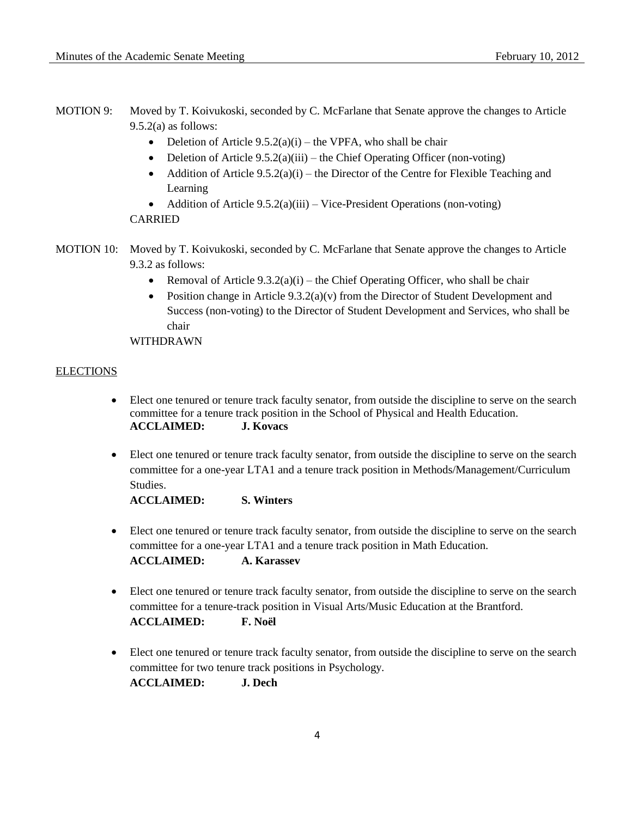- MOTION 9: Moved by T. Koivukoski, seconded by C. McFarlane that Senate approve the changes to Article 9.5.2(a) as follows:
	- Deletion of Article  $9.5.2(a)(i)$  the VPFA, who shall be chair
	- Deletion of Article 9.5.2(a)(iii) the Chief Operating Officer (non-voting)
	- Addition of Article  $9.5.2(a)(i)$  the Director of the Centre for Flexible Teaching and Learning
	- Addition of Article  $9.5.2(a)(iii) Vice$ -President Operations (non-voting)

## CARRIED

- MOTION 10: Moved by T. Koivukoski, seconded by C. McFarlane that Senate approve the changes to Article 9.3.2 as follows:
	- Removal of Article  $9.3.2(a)(i)$  the Chief Operating Officer, who shall be chair
	- Position change in Article  $9.3.2(a)(v)$  from the Director of Student Development and Success (non-voting) to the Director of Student Development and Services, who shall be chair

WITHDRAWN

### **ELECTIONS**

- Elect one tenured or tenure track faculty senator, from outside the discipline to serve on the search committee for a tenure track position in the School of Physical and Health Education. **ACCLAIMED: J. Kovacs**
- Elect one tenured or tenure track faculty senator, from outside the discipline to serve on the search committee for a one-year LTA1 and a tenure track position in Methods/Management/Curriculum Studies.

**ACCLAIMED: S. Winters**

 Elect one tenured or tenure track faculty senator, from outside the discipline to serve on the search committee for a one-year LTA1 and a tenure track position in Math Education.

**ACCLAIMED: A. Karassev**

- Elect one tenured or tenure track faculty senator, from outside the discipline to serve on the search committee for a tenure-track position in Visual Arts/Music Education at the Brantford. **ACCLAIMED: F. Noël**
- Elect one tenured or tenure track faculty senator, from outside the discipline to serve on the search committee for two tenure track positions in Psychology. **ACCLAIMED: J. Dech**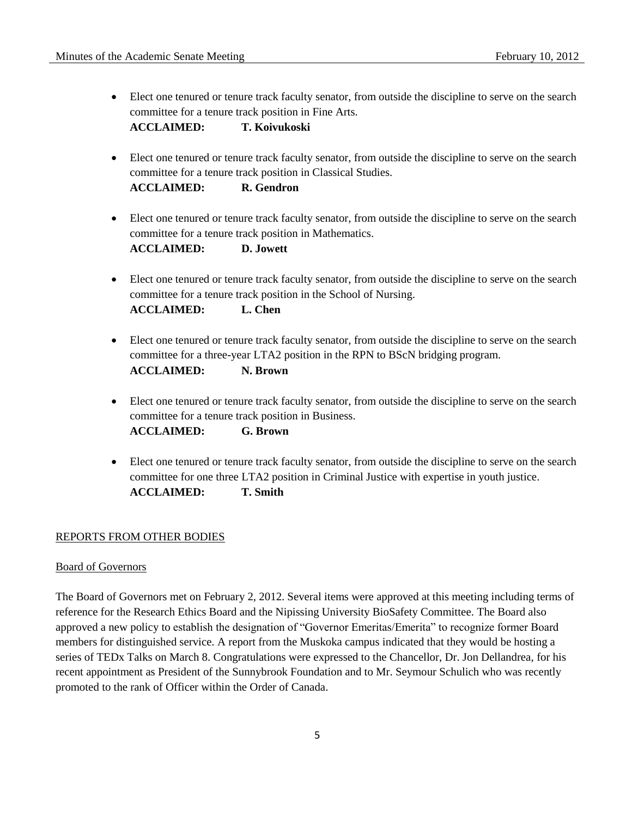Elect one tenured or tenure track faculty senator, from outside the discipline to serve on the search committee for a tenure track position in Fine Arts.

**ACCLAIMED: T. Koivukoski**

 Elect one tenured or tenure track faculty senator, from outside the discipline to serve on the search committee for a tenure track position in Classical Studies.

**ACCLAIMED: R. Gendron**

- Elect one tenured or tenure track faculty senator, from outside the discipline to serve on the search committee for a tenure track position in Mathematics. **ACCLAIMED: D. Jowett**
- Elect one tenured or tenure track faculty senator, from outside the discipline to serve on the search committee for a tenure track position in the School of Nursing. **ACCLAIMED: L. Chen**
- Elect one tenured or tenure track faculty senator, from outside the discipline to serve on the search committee for a three-year LTA2 position in the RPN to BScN bridging program. **ACCLAIMED: N. Brown**
- Elect one tenured or tenure track faculty senator, from outside the discipline to serve on the search committee for a tenure track position in Business. **ACCLAIMED: G. Brown**
- Elect one tenured or tenure track faculty senator, from outside the discipline to serve on the search committee for one three LTA2 position in Criminal Justice with expertise in youth justice. **ACCLAIMED: T. Smith**

## REPORTS FROM OTHER BODIES

## Board of Governors

The Board of Governors met on February 2, 2012. Several items were approved at this meeting including terms of reference for the Research Ethics Board and the Nipissing University BioSafety Committee. The Board also approved a new policy to establish the designation of "Governor Emeritas/Emerita" to recognize former Board members for distinguished service. A report from the Muskoka campus indicated that they would be hosting a series of TEDx Talks on March 8. Congratulations were expressed to the Chancellor, Dr. Jon Dellandrea, for his recent appointment as President of the Sunnybrook Foundation and to Mr. Seymour Schulich who was recently promoted to the rank of Officer within the Order of Canada.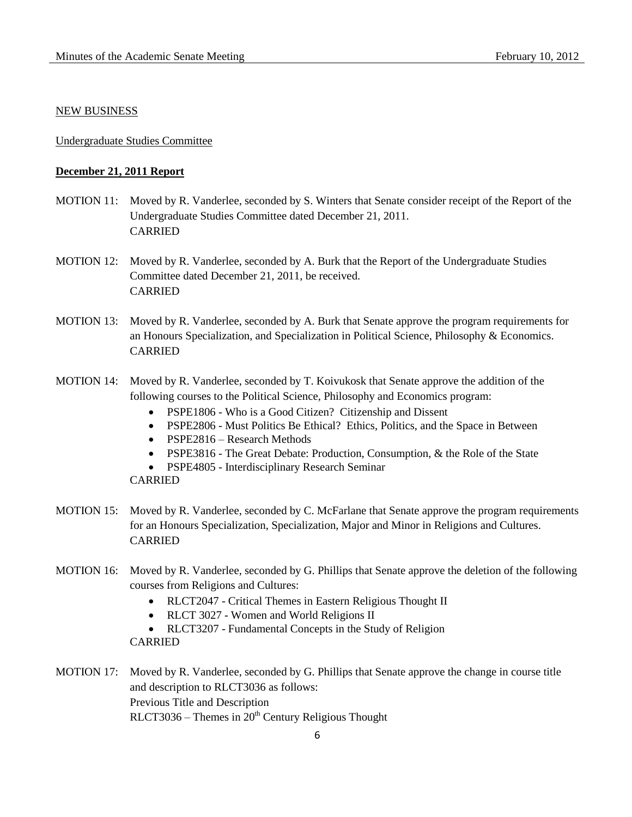#### NEW BUSINESS

#### Undergraduate Studies Committee

### **December 21, 2011 Report**

- MOTION 11: Moved by R. Vanderlee, seconded by S. Winters that Senate consider receipt of the Report of the Undergraduate Studies Committee dated December 21, 2011. CARRIED
- MOTION 12: Moved by R. Vanderlee, seconded by A. Burk that the Report of the Undergraduate Studies Committee dated December 21, 2011, be received. CARRIED
- MOTION 13: Moved by R. Vanderlee, seconded by A. Burk that Senate approve the program requirements for an Honours Specialization, and Specialization in Political Science, Philosophy & Economics. CARRIED
- MOTION 14: Moved by R. Vanderlee, seconded by T. Koivukosk that Senate approve the addition of the following courses to the Political Science, Philosophy and Economics program:
	- PSPE1806 Who is a Good Citizen? Citizenship and Dissent
	- PSPE2806 Must Politics Be Ethical? Ethics, Politics, and the Space in Between
	- PSPE2816 Research Methods
	- PSPE3816 The Great Debate: Production, Consumption, & the Role of the State
	- PSPE4805 Interdisciplinary Research Seminar

- MOTION 15: Moved by R. Vanderlee, seconded by C. McFarlane that Senate approve the program requirements for an Honours Specialization, Specialization, Major and Minor in Religions and Cultures. CARRIED
- MOTION 16: Moved by R. Vanderlee, seconded by G. Phillips that Senate approve the deletion of the following courses from Religions and Cultures:
	- RLCT2047 Critical Themes in Eastern Religious Thought II
	- RLCT 3027 Women and World Religions II
	- RLCT3207 Fundamental Concepts in the Study of Religion
	- CARRIED
- MOTION 17: Moved by R. Vanderlee, seconded by G. Phillips that Senate approve the change in course title and description to RLCT3036 as follows: Previous Title and Description  $RLCT3036 - Themes in 20<sup>th</sup> Century Religious Thought$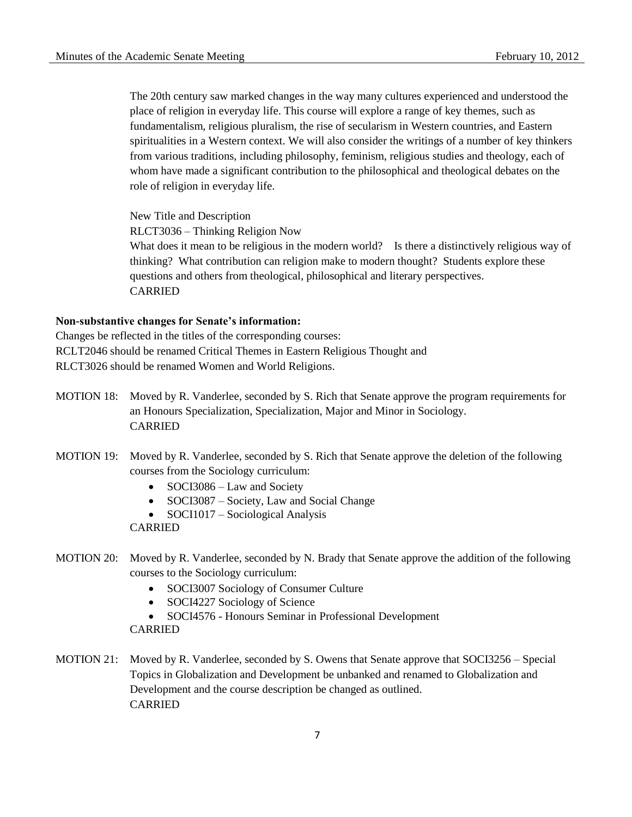The 20th century saw marked changes in the way many cultures experienced and understood the place of religion in everyday life. This course will explore a range of key themes, such as fundamentalism, religious pluralism, the rise of secularism in Western countries, and Eastern spiritualities in a Western context. We will also consider the writings of a number of key thinkers from various traditions, including philosophy, feminism, religious studies and theology, each of whom have made a significant contribution to the philosophical and theological debates on the role of religion in everyday life.

New Title and Description RLCT3036 – Thinking Religion Now What does it mean to be religious in the modern world? Is there a distinctively religious way of thinking? What contribution can religion make to modern thought? Students explore these questions and others from theological, philosophical and literary perspectives. CARRIED

## **Non-substantive changes for Senate's information:**

Changes be reflected in the titles of the corresponding courses: RCLT2046 should be renamed Critical Themes in Eastern Religious Thought and RLCT3026 should be renamed Women and World Religions.

- MOTION 18: Moved by R. Vanderlee, seconded by S. Rich that Senate approve the program requirements for an Honours Specialization, Specialization, Major and Minor in Sociology. CARRIED
- MOTION 19: Moved by R. Vanderlee, seconded by S. Rich that Senate approve the deletion of the following courses from the Sociology curriculum:
	- SOCI3086 Law and Society
	- SOCI3087 Society, Law and Social Change
	- SOCI1017 Sociological Analysis

CARRIED

- MOTION 20: Moved by R. Vanderlee, seconded by N. Brady that Senate approve the addition of the following courses to the Sociology curriculum:
	- SOCI3007 Sociology of Consumer Culture
	- SOCI4227 Sociology of Science
	- SOCI4576 Honours Seminar in Professional Development

CARRIED

MOTION 21: Moved by R. Vanderlee, seconded by S. Owens that Senate approve that SOCI3256 – Special Topics in Globalization and Development be unbanked and renamed to Globalization and Development and the course description be changed as outlined. CARRIED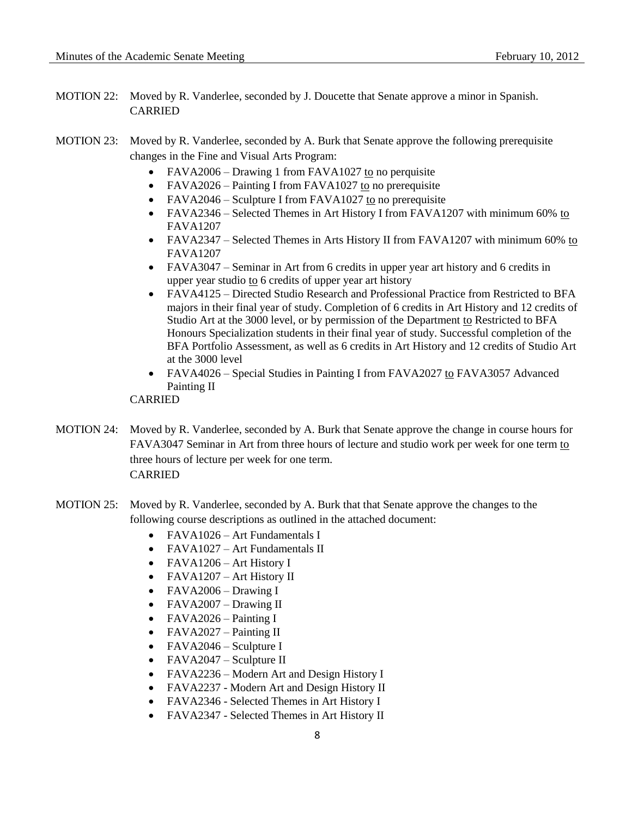MOTION 22: Moved by R. Vanderlee, seconded by J. Doucette that Senate approve a minor in Spanish. CARRIED

# MOTION 23: Moved by R. Vanderlee, seconded by A. Burk that Senate approve the following prerequisite changes in the Fine and Visual Arts Program:

- FAVA2006 Drawing 1 from FAVA1027 to no perquisite
- FAVA2026 Painting I from FAVA1027 to no prerequisite
- FAVA2046 Sculpture I from FAVA1027 to no prerequisite
- FAVA2346 Selected Themes in Art History I from FAVA1207 with minimum 60% to FAVA1207
- FAVA2347 Selected Themes in Arts History II from FAVA1207 with minimum 60% to FAVA1207
- FAVA3047 Seminar in Art from 6 credits in upper year art history and 6 credits in upper year studio to 6 credits of upper year art history
- FAVA4125 Directed Studio Research and Professional Practice from Restricted to BFA majors in their final year of study. Completion of 6 credits in Art History and 12 credits of Studio Art at the 3000 level, or by permission of the Department to Restricted to BFA Honours Specialization students in their final year of study. Successful completion of the BFA Portfolio Assessment, as well as 6 credits in Art History and 12 credits of Studio Art at the 3000 level
- FAVA4026 Special Studies in Painting I from FAVA2027 to FAVA3057 Advanced Painting II

- MOTION 24: Moved by R. Vanderlee, seconded by A. Burk that Senate approve the change in course hours for FAVA3047 Seminar in Art from three hours of lecture and studio work per week for one term to three hours of lecture per week for one term. CARRIED
- MOTION 25: Moved by R. Vanderlee, seconded by A. Burk that that Senate approve the changes to the following course descriptions as outlined in the attached document:
	- FAVA1026 Art Fundamentals I
	- FAVA1027 Art Fundamentals II
	- FAVA1206 Art History I
	- FAVA1207 Art History II
	- FAVA2006 Drawing I
	- FAVA2007 Drawing II
	- FAVA2026 Painting I
	- FAVA2027 Painting II
	- FAVA2046 Sculpture I
	- FAVA2047 Sculpture II
	- FAVA2236 Modern Art and Design History I
	- FAVA2237 Modern Art and Design History II
	- FAVA2346 Selected Themes in Art History I
	- FAVA2347 Selected Themes in Art History II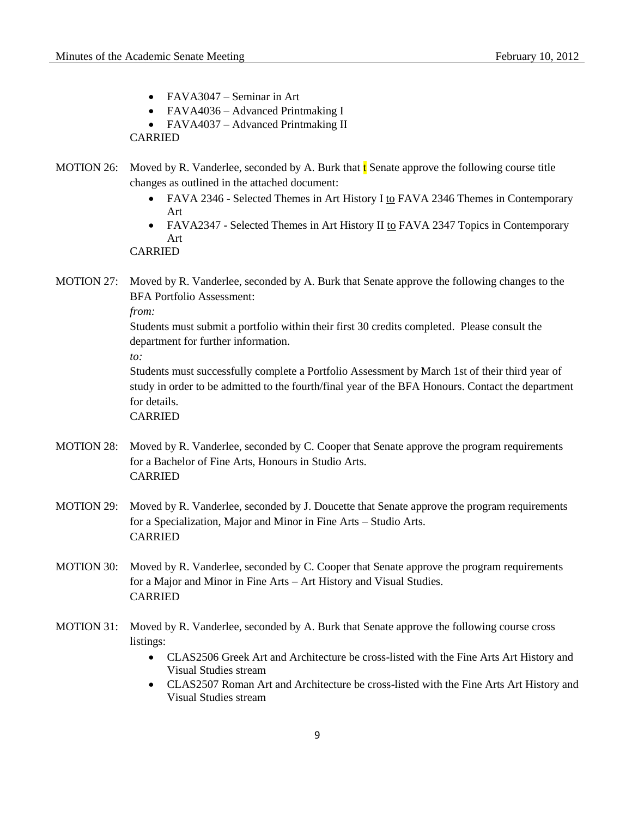- FAVA3047 Seminar in Art
- FAVA4036 Advanced Printmaking I
- FAVA4037 Advanced Printmaking II

CARRIED

- MOTION 26: Moved by R. Vanderlee, seconded by A. Burk that  $\mathbf t$  Senate approve the following course title changes as outlined in the attached document:
	- FAVA 2346 Selected Themes in Art History I to FAVA 2346 Themes in Contemporary Art
	- FAVA2347 Selected Themes in Art History II to FAVA 2347 Topics in Contemporary Art

CARRIED

MOTION 27: Moved by R. Vanderlee, seconded by A. Burk that Senate approve the following changes to the BFA Portfolio Assessment:

*from:*

Students must submit a portfolio within their first 30 credits completed. Please consult the department for further information.

*to:*

Students must successfully complete a Portfolio Assessment by March 1st of their third year of study in order to be admitted to the fourth/final year of the BFA Honours. Contact the department for details.

- MOTION 28: Moved by R. Vanderlee, seconded by C. Cooper that Senate approve the program requirements for a Bachelor of Fine Arts, Honours in Studio Arts. CARRIED
- MOTION 29: Moved by R. Vanderlee, seconded by J. Doucette that Senate approve the program requirements for a Specialization, Major and Minor in Fine Arts – Studio Arts. CARRIED
- MOTION 30: Moved by R. Vanderlee, seconded by C. Cooper that Senate approve the program requirements for a Major and Minor in Fine Arts – Art History and Visual Studies. CARRIED
- MOTION 31: Moved by R. Vanderlee, seconded by A. Burk that Senate approve the following course cross listings:
	- CLAS2506 Greek Art and Architecture be cross-listed with the Fine Arts Art History and Visual Studies stream
	- CLAS2507 Roman Art and Architecture be cross-listed with the Fine Arts Art History and Visual Studies stream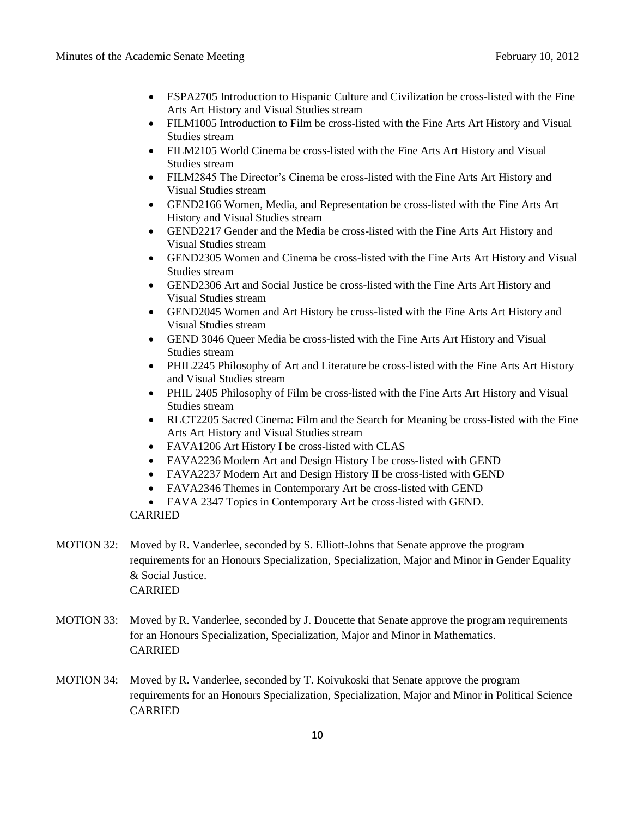- ESPA2705 Introduction to Hispanic Culture and Civilization be cross-listed with the Fine Arts Art History and Visual Studies stream
- FILM1005 Introduction to Film be cross-listed with the Fine Arts Art History and Visual Studies stream
- FILM2105 World Cinema be cross-listed with the Fine Arts Art History and Visual Studies stream
- FILM2845 The Director's Cinema be cross-listed with the Fine Arts Art History and Visual Studies stream
- GEND2166 Women, Media, and Representation be cross-listed with the Fine Arts Art History and Visual Studies stream
- GEND2217 Gender and the Media be cross-listed with the Fine Arts Art History and Visual Studies stream
- GEND2305 Women and Cinema be cross-listed with the Fine Arts Art History and Visual Studies stream
- GEND2306 Art and Social Justice be cross-listed with the Fine Arts Art History and Visual Studies stream
- GEND2045 Women and Art History be cross-listed with the Fine Arts Art History and Visual Studies stream
- GEND 3046 Queer Media be cross-listed with the Fine Arts Art History and Visual Studies stream
- PHIL2245 Philosophy of Art and Literature be cross-listed with the Fine Arts Art History and Visual Studies stream
- PHIL 2405 Philosophy of Film be cross-listed with the Fine Arts Art History and Visual Studies stream
- RLCT2205 Sacred Cinema: Film and the Search for Meaning be cross-listed with the Fine Arts Art History and Visual Studies stream
- FAVA1206 Art History I be cross-listed with CLAS
- FAVA2236 Modern Art and Design History I be cross-listed with GEND
- FAVA2237 Modern Art and Design History II be cross-listed with GEND
- FAVA2346 Themes in Contemporary Art be cross-listed with GEND
- FAVA 2347 Topics in Contemporary Art be cross-listed with GEND.

- MOTION 32: Moved by R. Vanderlee, seconded by S. Elliott-Johns that Senate approve the program requirements for an Honours Specialization, Specialization, Major and Minor in Gender Equality & Social Justice. CARRIED
- MOTION 33: Moved by R. Vanderlee, seconded by J. Doucette that Senate approve the program requirements for an Honours Specialization, Specialization, Major and Minor in Mathematics. CARRIED
- MOTION 34: Moved by R. Vanderlee, seconded by T. Koivukoski that Senate approve the program requirements for an Honours Specialization, Specialization, Major and Minor in Political Science CARRIED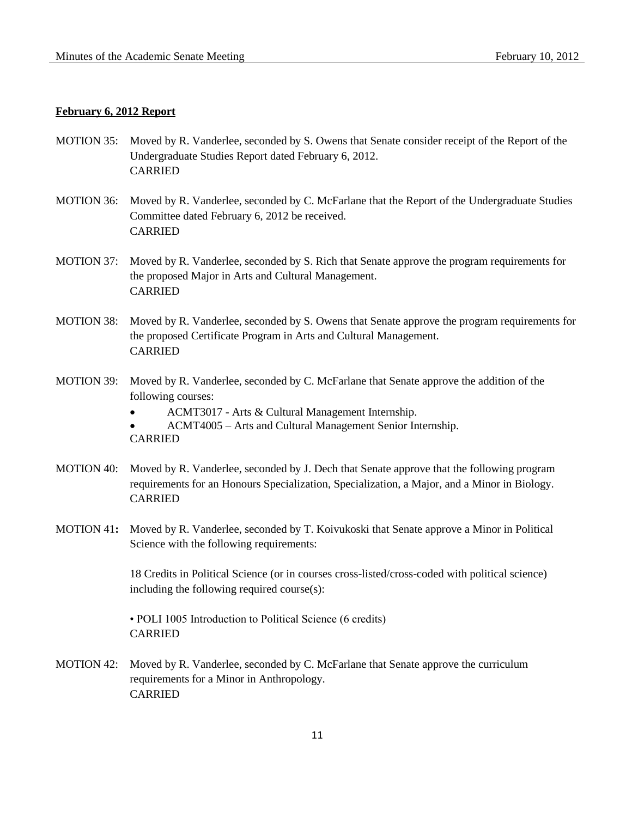### **February 6, 2012 Report**

- MOTION 35: Moved by R. Vanderlee, seconded by S. Owens that Senate consider receipt of the Report of the Undergraduate Studies Report dated February 6, 2012. CARRIED
- MOTION 36: Moved by R. Vanderlee, seconded by C. McFarlane that the Report of the Undergraduate Studies Committee dated February 6, 2012 be received. CARRIED
- MOTION 37: Moved by R. Vanderlee, seconded by S. Rich that Senate approve the program requirements for the proposed Major in Arts and Cultural Management. CARRIED
- MOTION 38: Moved by R. Vanderlee, seconded by S. Owens that Senate approve the program requirements for the proposed Certificate Program in Arts and Cultural Management. CARRIED
- MOTION 39: Moved by R. Vanderlee, seconded by C. McFarlane that Senate approve the addition of the following courses:
	- ACMT3017 Arts & Cultural Management Internship.
	- ACMT4005 Arts and Cultural Management Senior Internship. CARRIED
- MOTION 40: Moved by R. Vanderlee, seconded by J. Dech that Senate approve that the following program requirements for an Honours Specialization, Specialization, a Major, and a Minor in Biology. CARRIED
- MOTION 41**:** Moved by R. Vanderlee, seconded by T. Koivukoski that Senate approve a Minor in Political Science with the following requirements:

18 Credits in Political Science (or in courses cross-listed/cross-coded with political science) including the following required course(s):

• POLI 1005 Introduction to Political Science (6 credits) CARRIED

MOTION 42: Moved by R. Vanderlee, seconded by C. McFarlane that Senate approve the curriculum requirements for a Minor in Anthropology. CARRIED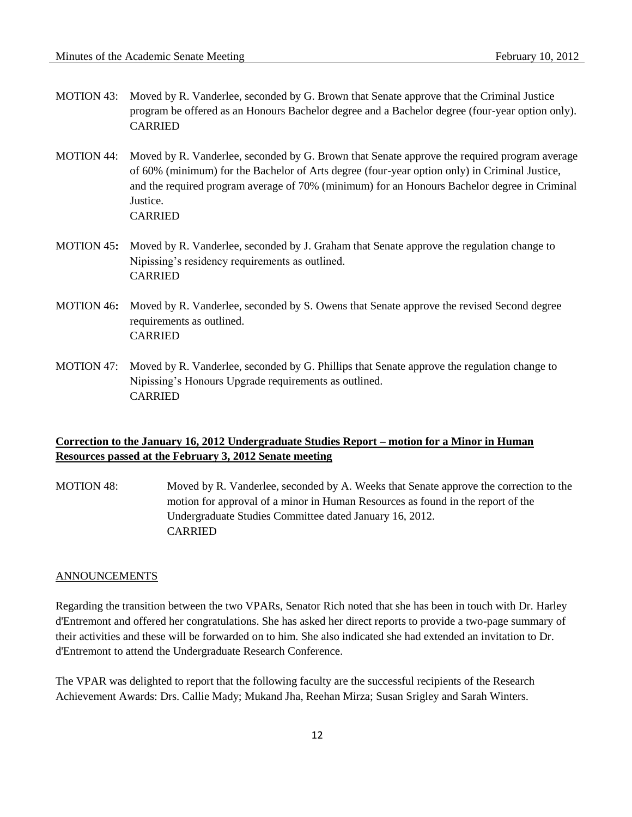- MOTION 43: Moved by R. Vanderlee, seconded by G. Brown that Senate approve that the Criminal Justice program be offered as an Honours Bachelor degree and a Bachelor degree (four-year option only). CARRIED
- MOTION 44: Moved by R. Vanderlee, seconded by G. Brown that Senate approve the required program average of 60% (minimum) for the Bachelor of Arts degree (four-year option only) in Criminal Justice, and the required program average of 70% (minimum) for an Honours Bachelor degree in Criminal Justice. CARRIED
- MOTION 45**:** Moved by R. Vanderlee, seconded by J. Graham that Senate approve the regulation change to Nipissing's residency requirements as outlined. CARRIED
- MOTION 46**:** Moved by R. Vanderlee, seconded by S. Owens that Senate approve the revised Second degree requirements as outlined. CARRIED
- MOTION 47: Moved by R. Vanderlee, seconded by G. Phillips that Senate approve the regulation change to Nipissing's Honours Upgrade requirements as outlined. CARRIED

# **Correction to the January 16, 2012 Undergraduate Studies Report – motion for a Minor in Human Resources passed at the February 3, 2012 Senate meeting**

MOTION 48: Moved by R. Vanderlee, seconded by A. Weeks that Senate approve the correction to the motion for approval of a minor in Human Resources as found in the report of the Undergraduate Studies Committee dated January 16, 2012. CARRIED

#### ANNOUNCEMENTS

Regarding the transition between the two VPARs, Senator Rich noted that she has been in touch with Dr. Harley d'Entremont and offered her congratulations. She has asked her direct reports to provide a two-page summary of their activities and these will be forwarded on to him. She also indicated she had extended an invitation to Dr. d'Entremont to attend the Undergraduate Research Conference.

The VPAR was delighted to report that the following faculty are the successful recipients of the Research Achievement Awards: Drs. Callie Mady; Mukand Jha, Reehan Mirza; Susan Srigley and Sarah Winters.